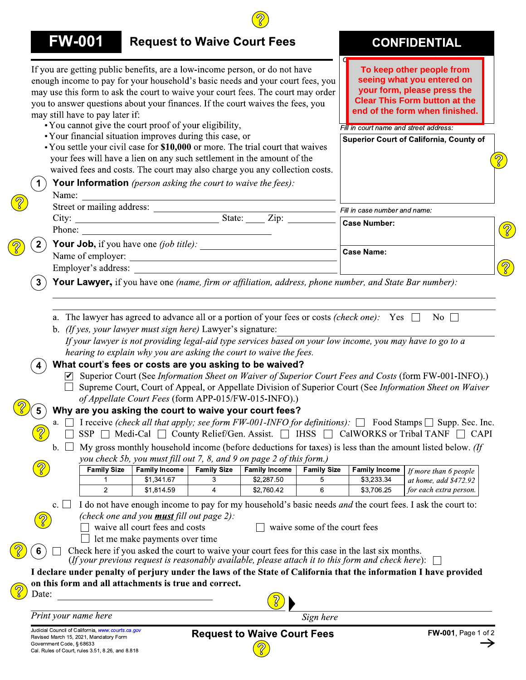|                | <b>FW-001</b>                                                                                                                                                                                                                                                                                                                                                                                                                                                                                                                                                                                                                                                                                                                                                                                                  | <b>Request to Waive Court Fees</b>                                                                                                                   |                                                             |                                    |                              |                                                      | <b>CONFIDENTIAL</b>                                                                                                                                                                                                                                                                                                                                                                                                                                                                                                                                                 |
|----------------|----------------------------------------------------------------------------------------------------------------------------------------------------------------------------------------------------------------------------------------------------------------------------------------------------------------------------------------------------------------------------------------------------------------------------------------------------------------------------------------------------------------------------------------------------------------------------------------------------------------------------------------------------------------------------------------------------------------------------------------------------------------------------------------------------------------|------------------------------------------------------------------------------------------------------------------------------------------------------|-------------------------------------------------------------|------------------------------------|------------------------------|------------------------------------------------------|---------------------------------------------------------------------------------------------------------------------------------------------------------------------------------------------------------------------------------------------------------------------------------------------------------------------------------------------------------------------------------------------------------------------------------------------------------------------------------------------------------------------------------------------------------------------|
|                | If you are getting public benefits, are a low-income person, or do not have<br>enough income to pay for your household's basic needs and your court fees, you<br>may use this form to ask the court to waive your court fees. The court may order<br>you to answer questions about your finances. If the court waives the fees, you<br>may still have to pay later if:<br>• You cannot give the court proof of your eligibility,<br>• Your financial situation improves during this case, or<br>• You settle your civil case for \$10,000 or more. The trial court that waives<br>your fees will have a lien on any such settlement in the amount of the<br>waived fees and costs. The court may also charge you any collection costs.<br><b>Your Information</b> (person asking the court to waive the fees): |                                                                                                                                                      |                                                             |                                    |                              | Fill in court name and street address:               | To keep other people from<br>seeing what you entered on<br>your form, please press the<br><b>Clear This Form button at the</b><br>end of the form when finished.<br><b>Superior Court of California, County of</b>                                                                                                                                                                                                                                                                                                                                                  |
|                | Name:                                                                                                                                                                                                                                                                                                                                                                                                                                                                                                                                                                                                                                                                                                                                                                                                          | <u> 1989 - Johann Stoff, deutscher Stoffen und der Stoffen und der Stoffen und der Stoffen und der Stoffen und de</u>                                |                                                             |                                    |                              |                                                      |                                                                                                                                                                                                                                                                                                                                                                                                                                                                                                                                                                     |
|                |                                                                                                                                                                                                                                                                                                                                                                                                                                                                                                                                                                                                                                                                                                                                                                                                                |                                                                                                                                                      |                                                             |                                    |                              | Fill in case number and name:<br><b>Case Number:</b> |                                                                                                                                                                                                                                                                                                                                                                                                                                                                                                                                                                     |
|                |                                                                                                                                                                                                                                                                                                                                                                                                                                                                                                                                                                                                                                                                                                                                                                                                                |                                                                                                                                                      |                                                             |                                    |                              |                                                      |                                                                                                                                                                                                                                                                                                                                                                                                                                                                                                                                                                     |
|                |                                                                                                                                                                                                                                                                                                                                                                                                                                                                                                                                                                                                                                                                                                                                                                                                                |                                                                                                                                                      |                                                             |                                    |                              | Case Name:                                           |                                                                                                                                                                                                                                                                                                                                                                                                                                                                                                                                                                     |
|                |                                                                                                                                                                                                                                                                                                                                                                                                                                                                                                                                                                                                                                                                                                                                                                                                                |                                                                                                                                                      |                                                             |                                    |                              |                                                      |                                                                                                                                                                                                                                                                                                                                                                                                                                                                                                                                                                     |
|                | Your Lawyer, if you have one (name, firm or affiliation, address, phone number, and State Bar number):                                                                                                                                                                                                                                                                                                                                                                                                                                                                                                                                                                                                                                                                                                         |                                                                                                                                                      |                                                             |                                    |                              |                                                      |                                                                                                                                                                                                                                                                                                                                                                                                                                                                                                                                                                     |
|                |                                                                                                                                                                                                                                                                                                                                                                                                                                                                                                                                                                                                                                                                                                                                                                                                                |                                                                                                                                                      | b. (If yes, your lawyer must sign here) Lawyer's signature: |                                    |                              |                                                      |                                                                                                                                                                                                                                                                                                                                                                                                                                                                                                                                                                     |
| a.<br>b.       | If your lawyer is not providing legal-aid type services based on your low income, you may have to go to a<br>hearing to explain why you are asking the court to waive the fees.<br>What court's fees or costs are you asking to be waived?<br>Why are you asking the court to waive your court fees?<br><b>Family Size</b>                                                                                                                                                                                                                                                                                                                                                                                                                                                                                     | of Appellate Court Fees (form APP-015/FW-015-INFO).)<br>you check 5b, you must fill out 7, 8, and 9 on page 2 of this form.)<br><b>Family Income</b> | <b>Family Size</b>                                          | <b>Family Income</b>               | <b>Family Size</b>           | <b>Family Income</b>                                 | Superior Court (See Information Sheet on Waiver of Superior Court Fees and Costs (form FW-001-INFO).)<br>Supreme Court, Court of Appeal, or Appellate Division of Superior Court (See Information Sheet on Waiver<br>I receive (check all that apply; see form FW-001-INFO for definitions): $\Box$ Food Stamps $\Box$ Supp. Sec. Inc.<br>SSP $\Box$ Medi-Cal $\Box$ County Relief/Gen. Assist. $\Box$ IHSS $\Box$ CalWORKS or Tribal TANF $\Box$ CAPI<br>My gross monthly household income (before deductions for taxes) is less than the amount listed below. (If |
| <mark>၇</mark> | 1                                                                                                                                                                                                                                                                                                                                                                                                                                                                                                                                                                                                                                                                                                                                                                                                              | \$1.341.67                                                                                                                                           | 3                                                           | \$2,287.50                         | 5                            | \$3,233.34                                           | If more than 6 people<br>at home, add \$472.92                                                                                                                                                                                                                                                                                                                                                                                                                                                                                                                      |
|                | $\overline{2}$                                                                                                                                                                                                                                                                                                                                                                                                                                                                                                                                                                                                                                                                                                                                                                                                 | \$1,814.59                                                                                                                                           | 4                                                           | \$2,760.42                         | 6                            | \$3,706.25                                           | for each extra person.                                                                                                                                                                                                                                                                                                                                                                                                                                                                                                                                              |
| $c.$ $\Box$    |                                                                                                                                                                                                                                                                                                                                                                                                                                                                                                                                                                                                                                                                                                                                                                                                                | (check one and you <b>must</b> fill out page $2$ ):                                                                                                  |                                                             |                                    |                              |                                                      | I do not have enough income to pay for my household's basic needs <i>and</i> the court fees. I ask the court to:                                                                                                                                                                                                                                                                                                                                                                                                                                                    |
| $\circ$        |                                                                                                                                                                                                                                                                                                                                                                                                                                                                                                                                                                                                                                                                                                                                                                                                                | waive all court fees and costs                                                                                                                       |                                                             |                                    | waive some of the court fees |                                                      |                                                                                                                                                                                                                                                                                                                                                                                                                                                                                                                                                                     |
| 6              | Check here if you asked the court to waive your court fees for this case in the last six months.                                                                                                                                                                                                                                                                                                                                                                                                                                                                                                                                                                                                                                                                                                               | let me make payments over time                                                                                                                       |                                                             |                                    |                              |                                                      |                                                                                                                                                                                                                                                                                                                                                                                                                                                                                                                                                                     |
|                | $(If your previous request is reasonably available, please attach it to this form and check here):$                                                                                                                                                                                                                                                                                                                                                                                                                                                                                                                                                                                                                                                                                                            |                                                                                                                                                      |                                                             |                                    |                              |                                                      |                                                                                                                                                                                                                                                                                                                                                                                                                                                                                                                                                                     |
|                |                                                                                                                                                                                                                                                                                                                                                                                                                                                                                                                                                                                                                                                                                                                                                                                                                |                                                                                                                                                      |                                                             |                                    |                              |                                                      | I declare under penalty of perjury under the laws of the State of California that the information I have provided                                                                                                                                                                                                                                                                                                                                                                                                                                                   |
| Date:          | on this form and all attachments is true and correct.                                                                                                                                                                                                                                                                                                                                                                                                                                                                                                                                                                                                                                                                                                                                                          |                                                                                                                                                      |                                                             |                                    |                              |                                                      |                                                                                                                                                                                                                                                                                                                                                                                                                                                                                                                                                                     |
|                |                                                                                                                                                                                                                                                                                                                                                                                                                                                                                                                                                                                                                                                                                                                                                                                                                |                                                                                                                                                      |                                                             | $\frac{5}{2}$                      |                              |                                                      |                                                                                                                                                                                                                                                                                                                                                                                                                                                                                                                                                                     |
|                | Print your name here<br>Judicial Council of California, www.courts.ca.gov                                                                                                                                                                                                                                                                                                                                                                                                                                                                                                                                                                                                                                                                                                                                      |                                                                                                                                                      |                                                             | <b>Request to Waive Court Fees</b> | Sign here                    |                                                      | <b>FW-001, Page 1 of 2</b>                                                                                                                                                                                                                                                                                                                                                                                                                                                                                                                                          |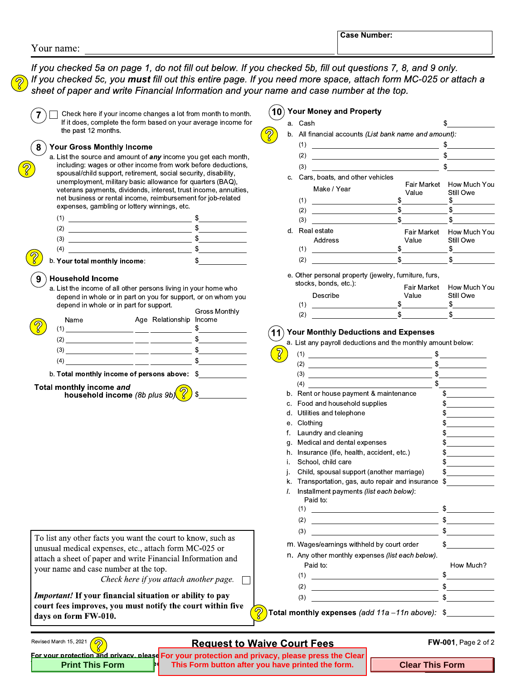If you checked 5a on page 1, do not fill out below. If you checked 5b, fill out questions 7, 8, and 9 only. If you checked 5c, you must fill out this entire page. If you need more space, attach form MC-025 or attach a sheet of paper and write Financial Information and your name and case number at the top.

|   | Check here if your income changes a lot from month to month.<br>If it does, complete the form based on your average income for<br>the past 12 months.                                                                                                                                                                                                                                                                                                                                     |  |
|---|-------------------------------------------------------------------------------------------------------------------------------------------------------------------------------------------------------------------------------------------------------------------------------------------------------------------------------------------------------------------------------------------------------------------------------------------------------------------------------------------|--|
| 8 | <b>Your Gross Monthly Income</b><br>a. List the source and amount of any income you get each month,<br>including: wages or other income from work before deductions,<br>spousal/child support, retirement, social security, disability,<br>unemployment, military basic allowance for quarters (BAQ),<br>veterans payments, dividends, interest, trust income, annuities,<br>net business or rental income, reimbursement for job-related<br>expenses, gambling or lottery winnings, etc. |  |
|   | (1)                                                                                                                                                                                                                                                                                                                                                                                                                                                                                       |  |
|   | (2)                                                                                                                                                                                                                                                                                                                                                                                                                                                                                       |  |
|   | (3)                                                                                                                                                                                                                                                                                                                                                                                                                                                                                       |  |
|   | (4)<br>the control of the control of the control of the control of the control of                                                                                                                                                                                                                                                                                                                                                                                                         |  |
|   | b. Your total monthly income:                                                                                                                                                                                                                                                                                                                                                                                                                                                             |  |
|   | Household Income                                                                                                                                                                                                                                                                                                                                                                                                                                                                          |  |

a. List the income of all other persons living in your home who depend in whole or in part on you for support, or on whom you depend in whole or in part for support.

| Name<br>〔1〕 | Age Relationship Income | Gross Monthly |
|-------------|-------------------------|---------------|
| (2)         |                         |               |
| (3)         |                         |               |
| (4)         |                         |               |
|             |                         |               |

b. Total monthly income of persons above: \$

Total monthly income and household income (8b plus 9b)

Revised March 15, 2021

To list any other facts you want the court to know, such as unusual medical expenses, etc., attach form MC-025 or attach a sheet of paper and write Financial Information and your name and case number at the top.

> Check here if you attach another page.  $\Box$

Important! If your financial situation or ability to pay court fees improves, you must notify the court within five days on form FW-010.

## 10) Your Money and Property

|    | a. casn |                                                                                                                        |     |             | ъ |                                       |
|----|---------|------------------------------------------------------------------------------------------------------------------------|-----|-------------|---|---------------------------------------|
| b. |         | All financial accounts (List bank name and amount):                                                                    |     |             |   |                                       |
|    | (1)     | the control of the control of the control of the control of the control of the control of                              |     |             | S |                                       |
|    | (2)     | <u> 1989 - Johann Stein, mars et al. 1989 - Anna ann an t-Anna ann an t-Anna ann an t-Anna ann an t-Anna ann an t-</u> |     |             |   | $\frac{1}{\sqrt{2}}$                  |
|    | (3)     |                                                                                                                        |     |             |   | \$                                    |
| C. |         | Cars, boats, and other vehicles                                                                                        |     |             |   |                                       |
|    | (1)     | Make / Year                                                                                                            | \$  | Value       |   | Fair Market How Much You<br>Still Owe |
|    | (2)     |                                                                                                                        | \$  |             |   | $\frac{1}{\sqrt{2}}$<br>\$            |
|    | (3)     |                                                                                                                        | \$. |             |   | \$                                    |
| d. |         | Real estate                                                                                                            |     | Fair Market |   | How Much You                          |
|    |         | Address                                                                                                                |     | Value       |   | Still Owe                             |
|    | (1)     |                                                                                                                        |     | \$          |   | $\mathbb{S}$                          |
|    | (2)     |                                                                                                                        | \$. |             |   | S.                                    |
|    |         |                                                                                                                        |     |             |   |                                       |

e. Other personal property (jewelry, furniture, furs,

| stocks, bonds, etc.): |       | Fair Market How Much You |
|-----------------------|-------|--------------------------|
| Describe              | Value | Still Owe                |
|                       |       |                          |
| (2)                   |       |                          |

## 11) Your Monthly Deductions and Expenses

a. List any navroll deductions and the monthly amount below:

| a. List any payron deductions and the monting amount below.                                      |                                                                                                                                                                                                                                                                                                                                                                                                                      |
|--------------------------------------------------------------------------------------------------|----------------------------------------------------------------------------------------------------------------------------------------------------------------------------------------------------------------------------------------------------------------------------------------------------------------------------------------------------------------------------------------------------------------------|
| (1)                                                                                              | \$                                                                                                                                                                                                                                                                                                                                                                                                                   |
| (2)                                                                                              | \$                                                                                                                                                                                                                                                                                                                                                                                                                   |
| (3)<br>the control of the control of the control of the control of the control of                | $\frac{1}{2}$                                                                                                                                                                                                                                                                                                                                                                                                        |
| (4)<br>the control of the control of the control of the control of the control of the control of | \$<br><u> The Community of the Community of the Community of the Community of the Community of the Community of the Community of the Community of the Community of the Community of the Community of the Community of the Community of</u>                                                                                                                                                                           |
| Rent or house payment & maintenance<br>b.                                                        | $\frac{1}{2}$                                                                                                                                                                                                                                                                                                                                                                                                        |
| Food and household supplies<br>C.                                                                | \$.<br>the company of the company of                                                                                                                                                                                                                                                                                                                                                                                 |
| Utilities and telephone<br>d.                                                                    | $\frac{1}{\sqrt{1-\frac{1}{2}}\sqrt{1-\frac{1}{2}}\sqrt{1-\frac{1}{2}}\sqrt{1-\frac{1}{2}}\sqrt{1-\frac{1}{2}}\sqrt{1-\frac{1}{2}}\sqrt{1-\frac{1}{2}}\sqrt{1-\frac{1}{2}}\sqrt{1-\frac{1}{2}}\sqrt{1-\frac{1}{2}}\sqrt{1-\frac{1}{2}}\sqrt{1-\frac{1}{2}}\sqrt{1-\frac{1}{2}}\sqrt{1-\frac{1}{2}}\sqrt{1-\frac{1}{2}}\sqrt{1-\frac{1}{2}}\sqrt{1-\frac{1}{2}}\sqrt{1-\frac{1}{2}}\sqrt{1-\frac{1}{2}}\sqrt{1-\frac$ |
| Clothing<br>е.                                                                                   | $\frac{1}{2}$                                                                                                                                                                                                                                                                                                                                                                                                        |
| Laundry and cleaning<br>f.                                                                       | \$                                                                                                                                                                                                                                                                                                                                                                                                                   |
| Medical and dental expenses<br>g.                                                                | $\frac{1}{2}$                                                                                                                                                                                                                                                                                                                                                                                                        |
| Insurance (life, health, accident, etc.)<br>h.                                                   | $\frac{1}{\sqrt{1-\frac{1}{2}}\sqrt{1-\frac{1}{2}}\sqrt{1-\frac{1}{2}}\sqrt{1-\frac{1}{2}}\sqrt{1-\frac{1}{2}}\sqrt{1-\frac{1}{2}}\sqrt{1-\frac{1}{2}}\sqrt{1-\frac{1}{2}}\sqrt{1-\frac{1}{2}}\sqrt{1-\frac{1}{2}}\sqrt{1-\frac{1}{2}}\sqrt{1-\frac{1}{2}}\sqrt{1-\frac{1}{2}}\sqrt{1-\frac{1}{2}}\sqrt{1-\frac{1}{2}}\sqrt{1-\frac{1}{2}}\sqrt{1-\frac{1}{2}}\sqrt{1-\frac{1}{2}}\sqrt{1-\frac{1}{2}}\sqrt{1-\frac$ |
| School, child care<br>i.                                                                         | $\frac{1}{2}$                                                                                                                                                                                                                                                                                                                                                                                                        |
| Child, spousal support (another marriage)<br>j.                                                  | $\frac{1}{2}$                                                                                                                                                                                                                                                                                                                                                                                                        |
| Transportation, gas, auto repair and insurance<br>k.                                             | $\frac{1}{2}$                                                                                                                                                                                                                                                                                                                                                                                                        |
| Installment payments (list each below):<br>L<br>Paid to:                                         |                                                                                                                                                                                                                                                                                                                                                                                                                      |
| (1)<br><u> 1989 - Johann Stein, mars an deus Amerikaansk kommunister (</u>                       | \$                                                                                                                                                                                                                                                                                                                                                                                                                   |
| (2)<br>the contract of the contract of the contract of the contract of the contract of           | $\frac{1}{2}$                                                                                                                                                                                                                                                                                                                                                                                                        |
| (3)                                                                                              | $\frac{1}{2}$                                                                                                                                                                                                                                                                                                                                                                                                        |
| m. Wages/earnings withheld by court order                                                        | \$                                                                                                                                                                                                                                                                                                                                                                                                                   |
| n. Any other monthly expenses (list each below).                                                 |                                                                                                                                                                                                                                                                                                                                                                                                                      |
| Paid to:                                                                                         | How Much?                                                                                                                                                                                                                                                                                                                                                                                                            |
| (1)                                                                                              | \$                                                                                                                                                                                                                                                                                                                                                                                                                   |
| (2)                                                                                              | \$                                                                                                                                                                                                                                                                                                                                                                                                                   |
| (3)                                                                                              | \$                                                                                                                                                                                                                                                                                                                                                                                                                   |
| I monthly exnenses (add 11a -11n above);                                                         | ፍ                                                                                                                                                                                                                                                                                                                                                                                                                    |

**Total mor** 

## **Request to Waive Court Fees**

 $\overline{2}$ 

FW-001, Page 2 of 2

For your protection and privacy, please For your protection and privacy, please press the Clear **Print This Form** This Form button after you have printed the form.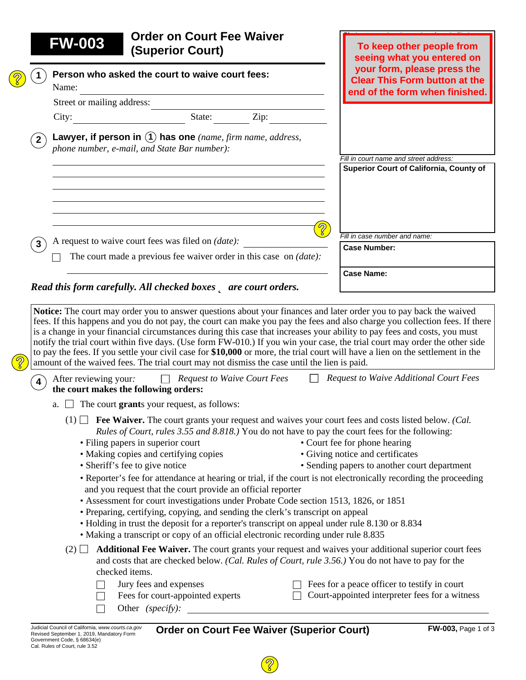|             | <b>FW-003</b>              | (Superior Court)                                                                                                                                                                                                                                                                                                                                                                                                                                                                                                                                                                                                                                                                                                                             | To keep other people from<br>seeing what you entered on                                               |
|-------------|----------------------------|----------------------------------------------------------------------------------------------------------------------------------------------------------------------------------------------------------------------------------------------------------------------------------------------------------------------------------------------------------------------------------------------------------------------------------------------------------------------------------------------------------------------------------------------------------------------------------------------------------------------------------------------------------------------------------------------------------------------------------------------|-------------------------------------------------------------------------------------------------------|
|             | Name:                      | Person who asked the court to waive court fees:                                                                                                                                                                                                                                                                                                                                                                                                                                                                                                                                                                                                                                                                                              | your form, please press the<br><b>Clear This Form button at the</b><br>end of the form when finished. |
|             | Street or mailing address: |                                                                                                                                                                                                                                                                                                                                                                                                                                                                                                                                                                                                                                                                                                                                              |                                                                                                       |
|             | City:                      | Zip:<br>State:                                                                                                                                                                                                                                                                                                                                                                                                                                                                                                                                                                                                                                                                                                                               |                                                                                                       |
| $2^{\circ}$ |                            | Lawyer, if person in $(1)$ has one (name, firm name, address,<br>phone number, e-mail, and State Bar number):                                                                                                                                                                                                                                                                                                                                                                                                                                                                                                                                                                                                                                |                                                                                                       |
|             |                            |                                                                                                                                                                                                                                                                                                                                                                                                                                                                                                                                                                                                                                                                                                                                              | Fill in court name and street address:                                                                |
|             |                            |                                                                                                                                                                                                                                                                                                                                                                                                                                                                                                                                                                                                                                                                                                                                              | Superior Court of California, County of                                                               |
| 3           |                            | A request to waive court fees was filed on (date):                                                                                                                                                                                                                                                                                                                                                                                                                                                                                                                                                                                                                                                                                           | Fill in case number and name:<br><b>Case Number:</b>                                                  |
|             |                            | The court made a previous fee waiver order in this case on <i>(date)</i> :                                                                                                                                                                                                                                                                                                                                                                                                                                                                                                                                                                                                                                                                   |                                                                                                       |
|             |                            | Read this form carefully. All checked boxes <b>D</b> are court orders.                                                                                                                                                                                                                                                                                                                                                                                                                                                                                                                                                                                                                                                                       | <b>Case Name:</b>                                                                                     |
|             |                            | Notice: The court may order you to answer questions about your finances and later order you to pay back the waived<br>fees. If this happens and you do not pay, the court can make you pay the fees and also charge you collection fees. If there<br>is a change in your financial circumstances during this case that increases your ability to pay fees and costs, you must<br>notify the trial court within five days. (Use form FW-010.) If you win your case, the trial court may order the other side<br>to pay the fees. If you settle your civil case for \$10,000 or more, the trial court will have a lien on the settlement in the<br>amount of the waived fees. The trial court may not dismiss the case until the lien is paid. |                                                                                                       |
|             |                            | <b>Request to Waive Court Fees</b>                                                                                                                                                                                                                                                                                                                                                                                                                                                                                                                                                                                                                                                                                                           | <b>Request to Waive Additional Court Fees</b>                                                         |

- (1) **Fee Waiver.** The court grants your request and waives your court fees and costs listed below. *(Cal. Rules of Court, rules 3.55 and 8.818.)* You do not have to pay the court fees for the following:
	- Filing papers in superior court
	- Making copies and certifying copies
- Court fee for phone hearing
- 

• Sheriff's fee to give notice

• Giving notice and certificates

- Sending papers to another court department
- Reporter's fee for attendance at hearing or trial, if the court is not electronically recording the proceeding and you request that the court provide an official reporter
- Assessment for court investigations under Probate Code section 1513, 1826, or 1851
- Preparing, certifying, copying, and sending the clerk's transcript on appeal
- Holding in trust the deposit for a reporter's transcript on appeal under rule 8.130 or 8.834
- Making a transcript or copy of an official electronic recording under rule 8.835
- $(2)$   $\Box$  **Additional Fee Waiver.** The court grants your request and waives your additional superior court fees and costs that are checked below. *(Cal. Rules of Court, rule 3.56.)* You do not have to pay for the checked items.
	- Jury fees and expenses  $\Box$  Fees for a peace officer to testify in court Fees for court-appointed experts  $\Box$  Court-appointed interpreter fees for a witness  $\Box$ 
		- Other *(specify):*

 $\Box$ 

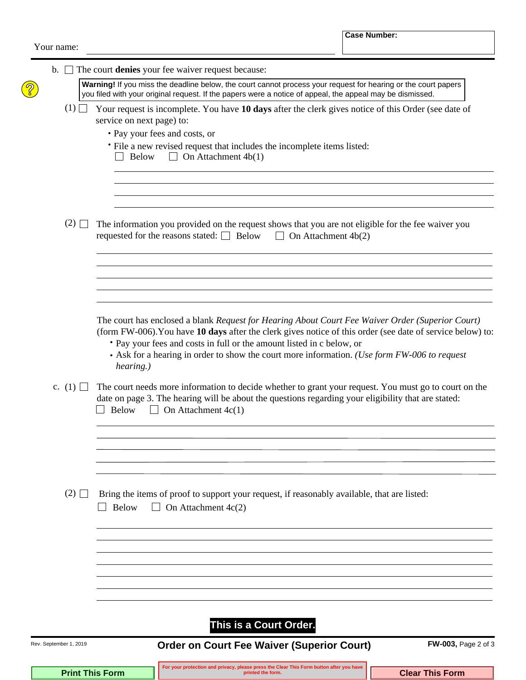| Your name: |  |
|------------|--|
|------------|--|

| $\mathbf{b}$ .         | The court denies your fee waiver request because:                                                                                                                                                                                                                                                                                                                                                    |
|------------------------|------------------------------------------------------------------------------------------------------------------------------------------------------------------------------------------------------------------------------------------------------------------------------------------------------------------------------------------------------------------------------------------------------|
|                        | Warning! If you miss the deadline below, the court cannot process your request for hearing or the court papers<br>you filed with your original request. If the papers were a notice of appeal, the appeal may be dismissed.                                                                                                                                                                          |
| (1)                    | Your request is incomplete. You have 10 days after the clerk gives notice of this Order (see date of<br>service on next page) to:                                                                                                                                                                                                                                                                    |
|                        | • Pay your fees and costs, or<br>• File a new revised request that includes the incomplete items listed:<br>$\Box$ On Attachment 4b(1)<br>Below                                                                                                                                                                                                                                                      |
| $(2)$ $\Box$           | The information you provided on the request shows that you are not eligible for the fee waiver you<br>requested for the reasons stated: $\Box$ Below $\Box$ On Attachment 4b(2)                                                                                                                                                                                                                      |
|                        |                                                                                                                                                                                                                                                                                                                                                                                                      |
|                        | The court has enclosed a blank Request for Hearing About Court Fee Waiver Order (Superior Court)<br>(form FW-006). You have 10 days after the clerk gives notice of this order (see date of service below) to:<br>• Pay your fees and costs in full or the amount listed in c below, or<br>• Ask for a hearing in order to show the court more information. (Use form FW-006 to request<br>hearing.) |
| c. $(1)$ $\Box$        | The court needs more information to decide whether to grant your request. You must go to court on the<br>date on page 3. The hearing will be about the questions regarding your eligibility that are stated:<br>On Attachment $4c(1)$<br><b>Below</b><br>$\perp$                                                                                                                                     |
| $(2)$ $\Box$           | Bring the items of proof to support your request, if reasonably available, that are listed:<br><b>Below</b><br>On Attachment $4c(2)$<br>$\blacksquare$                                                                                                                                                                                                                                               |
|                        |                                                                                                                                                                                                                                                                                                                                                                                                      |
|                        | This is a Court Order.                                                                                                                                                                                                                                                                                                                                                                               |
| Rev. September 1, 2019 | <b>Order on Court Fee Waiver (Superior Court)</b><br><b>FW-003, Page 2 of 3</b>                                                                                                                                                                                                                                                                                                                      |

**Print This Form Clear This Form Clear This Form Integration** and privacy, please press the Clear This Form button after you have